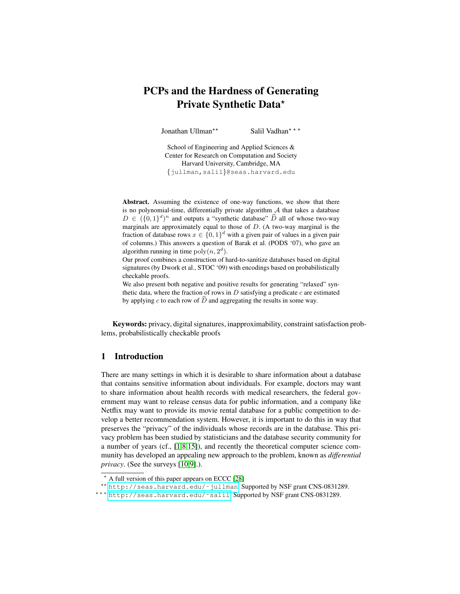# PCPs and the Hardness of Generating Private Synthetic Data\*

Jonathan Ullman<sup>\*\*</sup> Salil Vadhan<sup>\*\*</sup>

School of Engineering and Applied Sciences & Center for Research on Computation and Society Harvard University, Cambridge, MA {jullman,salil}@seas.harvard.edu

Abstract. Assuming the existence of one-way functions, we show that there is no polynomial-time, differentially private algorithm  $A$  that takes a database  $D \in (\{0,1\}^d)^n$  and outputs a "synthetic database"  $\widehat{D}$  all of whose two-way marginals are approximately equal to those of  $D$ . (A two-way marginal is the fraction of database rows  $x \in \{0,1\}^d$  with a given pair of values in a given pair of columns.) This answers a question of Barak et al. (PODS '07), who gave an algorithm running in time  $poly(n, 2<sup>d</sup>)$ .

Our proof combines a construction of hard-to-sanitize databases based on digital signatures (by Dwork et al., STOC '09) with encodings based on probabilistically checkable proofs.

We also present both negative and positive results for generating "relaxed" synthetic data, where the fraction of rows in  $D$  satisfying a predicate  $c$  are estimated by applying c to each row of  $\hat{D}$  and aggregating the results in some way.

Keywords: privacy, digital signatures, inapproximability, constraint satisfaction problems, probabilistically checkable proofs

## 1 Introduction

There are many settings in which it is desirable to share information about a database that contains sensitive information about individuals. For example, doctors may want to share information about health records with medical researchers, the federal government may want to release census data for public information, and a company like Netflix may want to provide its movie rental database for a public competition to develop a better recommendation system. However, it is important to do this in way that preserves the "privacy" of the individuals whose records are in the database. This privacy problem has been studied by statisticians and the database security community for a number of years (cf., [\[1,](#page-15-0)[8](#page-16-0)[,15\]](#page-16-1)), and recently the theoretical computer science community has developed an appealing new approach to the problem, known as *differential privacy*. (See the surveys [\[10](#page-16-2)[,9\]](#page-16-3).).

<sup>?</sup> A full version of this paper appears on ECCC [\[28\]](#page-16-4)

<sup>\*\*</sup> http://seas.harvard.edu/~jullman. Supported by NSF grant CNS-0831289.

<sup>\*\*\*</sup> http://seas.harvard.edu/~salil. Supported by NSF grant CNS-0831289.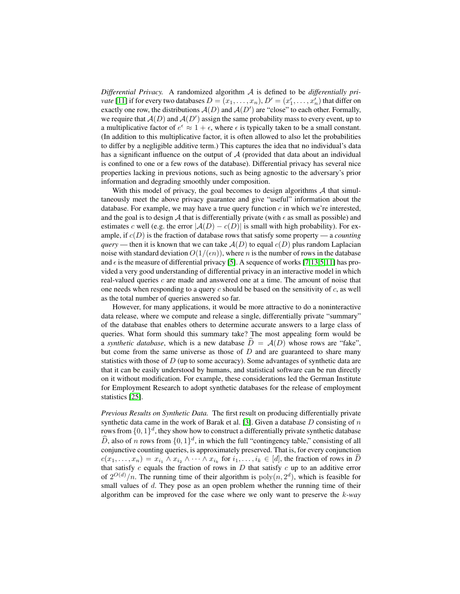*Differential Privacy.* A randomized algorithm A is defined to be *differentially private* [\[11\]](#page-16-5) if for every two databases  $D = (x_1, \ldots, x_n)$ ,  $D' = (x'_1, \ldots, x'_n)$  that differ on exactly one row, the distributions  $A(D)$  and  $A(D')$  are "close" to each other. Formally, we require that  $A(D)$  and  $A(D')$  assign the same probability mass to every event, up to a multiplicative factor of  $e^{\epsilon} \approx 1 + \epsilon$ , where  $\epsilon$  is typically taken to be a small constant. (In addition to this multiplicative factor, it is often allowed to also let the probabilities to differ by a negligible additive term.) This captures the idea that no individual's data has a significant influence on the output of  $A$  (provided that data about an individual is confined to one or a few rows of the database). Differential privacy has several nice properties lacking in previous notions, such as being agnostic to the adversary's prior information and degrading smoothly under composition.

With this model of privacy, the goal becomes to design algorithms  $A$  that simultaneously meet the above privacy guarantee and give "useful" information about the database. For example, we may have a true query function  $c$  in which we're interested, and the goal is to design A that is differentially private (with  $\epsilon$  as small as possible) and estimates c well (e.g. the error  $|A(D) - c(D)|$  is small with high probability). For example, if c(D) is the fraction of database rows that satisfy some property — a *counting query* — then it is known that we can take  $A(D)$  to equal  $c(D)$  plus random Laplacian noise with standard deviation  $O(1/(\epsilon n))$ , where n is the number of rows in the database and  $\epsilon$  is the measure of differential privacy [\[5\]](#page-15-1). A sequence of works [\[7,](#page-16-6)[13,](#page-16-7)[5](#page-15-1)[,11\]](#page-16-5) has provided a very good understanding of differential privacy in an interactive model in which real-valued queries  $c$  are made and answered one at a time. The amount of noise that one needs when responding to a query  $c$  should be based on the sensitivity of  $c$ , as well as the total number of queries answered so far.

However, for many applications, it would be more attractive to do a noninteractive data release, where we compute and release a single, differentially private "summary" of the database that enables others to determine accurate answers to a large class of queries. What form should this summary take? The most appealing form would be a *synthetic database*, which is a new database  $\hat{D} = \mathcal{A}(D)$  whose rows are "fake", but come from the same universe as those of  $D$  and are guaranteed to share many statistics with those of  $D$  (up to some accuracy). Some advantages of synthetic data are that it can be easily understood by humans, and statistical software can be run directly on it without modification. For example, these considerations led the German Institute for Employment Research to adopt synthetic databases for the release of employment statistics [\[25\]](#page-16-8).

*Previous Results on Synthetic Data.* The first result on producing differentially private synthetic data came in the work of Barak et al. [\[3\]](#page-15-2). Given a database  $D$  consisting of  $n$ rows from  $\{0,1\}^d$ , they show how to construct a differentially private synthetic database  $\widehat{D}$ , also of n rows from  $\{0, 1\}^d$ , in which the full "contingency table," consisting of all conjunctive counting queries, is approximately preserved. That is, for every conjunction  $c(x_1, \ldots, x_n) = x_{i_1} \wedge x_{i_2} \wedge \cdots \wedge x_{i_k}$  for  $i_1, \ldots, i_k \in [d]$ , the fraction of rows in D that satisfy  $c$  equals the fraction of rows in  $D$  that satisfy  $c$  up to an additive error of  $2^{O(d)} / n$ . The running time of their algorithm is  $poly(n, 2^d)$ , which is feasible for small values of  $d$ . They pose as an open problem whether the running time of their algorithm can be improved for the case where we only want to preserve the k*-way*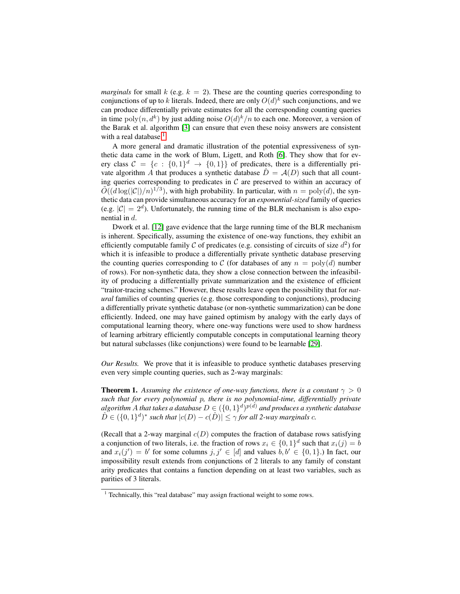*marginals* for small k (e.g.  $k = 2$ ). These are the counting queries corresponding to conjunctions of up to k literals. Indeed, there are only  $O(d)^k$  such conjunctions, and we can produce differentially private estimates for all the corresponding counting queries in time  $poly(n, d^k)$  by just adding noise  $O(d)^k/n$  to each one. Moreover, a version of the Barak et al. algorithm [\[3\]](#page-15-2) can ensure that even these noisy answers are consistent with a real database. $<sup>1</sup>$  $<sup>1</sup>$  $<sup>1</sup>$ </sup>

A more general and dramatic illustration of the potential expressiveness of synthetic data came in the work of Blum, Ligett, and Roth [\[6\]](#page-15-3). They show that for every class  $C = \{c : \{0,1\}^d \rightarrow \{0,1\}\}\$  of predicates, there is a differentially private algorithm A that produces a synthetic database  $\hat{D} = \mathcal{A}(D)$  such that all counting queries corresponding to predicates in  $C$  are preserved to within an accuracy of  $\widetilde{O}((d \log(|\mathcal{C}|)/n)^{1/3})$ , with high probability. In particular, with  $n = \text{poly}(d)$ , the synthetic data can provide simultaneous accuracy for an *exponential-sized* family of queries (e.g.  $|\mathcal{C}| = 2^d$ ). Unfortunately, the running time of the BLR mechanism is also exponential in d.

Dwork et al. [\[12\]](#page-16-9) gave evidence that the large running time of the BLR mechanism is inherent. Specifically, assuming the existence of one-way functions, they exhibit an efficiently computable family C of predicates (e.g. consisting of circuits of size  $d^2$ ) for which it is infeasible to produce a differentially private synthetic database preserving the counting queries corresponding to C (for databases of any  $n = \text{poly}(d)$  number of rows). For non-synthetic data, they show a close connection between the infeasibility of producing a differentially private summarization and the existence of efficient "traitor-tracing schemes." However, these results leave open the possibility that for *natural* families of counting queries (e.g. those corresponding to conjunctions), producing a differentially private synthetic database (or non-synthetic summarization) can be done efficiently. Indeed, one may have gained optimism by analogy with the early days of computational learning theory, where one-way functions were used to show hardness of learning arbitrary efficiently computable concepts in computational learning theory but natural subclasses (like conjunctions) were found to be learnable [\[29\]](#page-16-10).

*Our Results.* We prove that it is infeasible to produce synthetic databases preserving even very simple counting queries, such as 2-way marginals:

<span id="page-2-1"></span>**Theorem 1.** Assuming the existence of one-way functions, there is a constant  $\gamma > 0$ *such that for every polynomial* p*, there is no polynomial-time, differentially private* algorithm  $A$  that takes a database  $D \in (\{0,1\}^d)^{p(d)}$  and produces a synthetic database  $\hat{D} \in (\{0,1\}^d)^*$  such that  $|c(D) - c(\hat{D})| \leq \gamma$  for all 2-way marginals c.

(Recall that a 2-way marginal  $c(D)$  computes the fraction of database rows satisfying a conjunction of two literals, i.e. the fraction of rows  $x_i \in \{0,1\}^d$  such that  $x_i(j) = b$ and  $x_i(j') = b'$  for some columns  $j, j' \in [d]$  and values  $b, b' \in \{0, 1\}$ .) In fact, our impossibility result extends from conjunctions of 2 literals to any family of constant arity predicates that contains a function depending on at least two variables, such as parities of 3 literals.

<span id="page-2-0"></span><sup>&</sup>lt;sup>1</sup> Technically, this "real database" may assign fractional weight to some rows.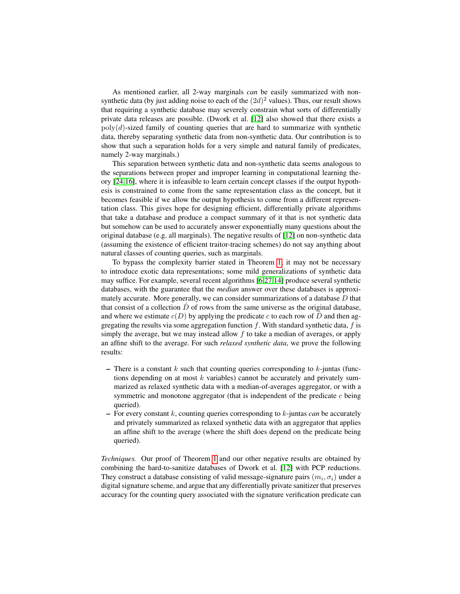As mentioned earlier, all 2-way marginals *can* be easily summarized with nonsynthetic data (by just adding noise to each of the  $(2d)^2$  values). Thus, our result shows that requiring a synthetic database may severely constrain what sorts of differentially private data releases are possible. (Dwork et al. [\[12\]](#page-16-9) also showed that there exists a  $poly(d)$ -sized family of counting queries that are hard to summarize with synthetic data, thereby separating synthetic data from non-synthetic data. Our contribution is to show that such a separation holds for a very simple and natural family of predicates, namely 2-way marginals.)

This separation between synthetic data and non-synthetic data seems analogous to the separations between proper and improper learning in computational learning theory [\[24,](#page-16-11)[16\]](#page-16-12), where it is infeasible to learn certain concept classes if the output hypothesis is constrained to come from the same representation class as the concept, but it becomes feasible if we allow the output hypothesis to come from a different representation class. This gives hope for designing efficient, differentially private algorithms that take a database and produce a compact summary of it that is not synthetic data but somehow can be used to accurately answer exponentially many questions about the original database (e.g. all marginals). The negative results of [\[12\]](#page-16-9) on non-synthetic data (assuming the existence of efficient traitor-tracing schemes) do not say anything about natural classes of counting queries, such as marginals.

To bypass the complexity barrier stated in Theorem [1,](#page-2-1) it may not be necessary to introduce exotic data representations; some mild generalizations of synthetic data may suffice. For example, several recent algorithms [\[6,](#page-15-3)[27,](#page-16-13)[14\]](#page-16-14) produce several synthetic databases, with the guarantee that the *median* answer over these databases is approximately accurate. More generally, we can consider summarizations of a database D that that consist of a collection  $D$  of rows from the same universe as the original database, and where we estimate  $c(D)$  by applying the predicate c to each row of D and then aggregating the results via some aggregation function  $f$ . With standard synthetic data,  $f$  is simply the average, but we may instead allow  $f$  to take a median of averages, or apply an affine shift to the average. For such *relaxed synthetic data*, we prove the following results:

- There is a constant  $k$  such that counting queries corresponding to  $k$ -juntas (functions depending on at most  $k$  variables) cannot be accurately and privately summarized as relaxed synthetic data with a median-of-averages aggregator, or with a symmetric and monotone aggregator (that is independent of the predicate c being queried).
- For every constant k, counting queries corresponding to k-juntas *can* be accurately and privately summarized as relaxed synthetic data with an aggregator that applies an affine shift to the average (where the shift does depend on the predicate being queried).

*Techniques.* Our proof of Theorem [1](#page-2-1) and our other negative results are obtained by combining the hard-to-sanitize databases of Dwork et al. [\[12\]](#page-16-9) with PCP reductions. They construct a database consisting of valid message-signature pairs  $(m_i, \sigma_i)$  under a digital signature scheme, and argue that any differentially private sanitizer that preserves accuracy for the counting query associated with the signature verification predicate can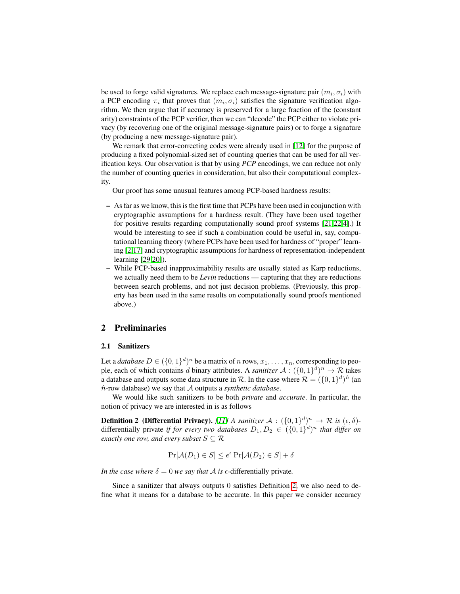be used to forge valid signatures. We replace each message-signature pair  $(m_i, \sigma_i)$  with a PCP encoding  $\pi_i$  that proves that  $(m_i, \sigma_i)$  satisfies the signature verification algorithm. We then argue that if accuracy is preserved for a large fraction of the (constant arity) constraints of the PCP verifier, then we can "decode" the PCP either to violate privacy (by recovering one of the original message-signature pairs) or to forge a signature (by producing a new message-signature pair).

We remark that error-correcting codes were already used in [\[12\]](#page-16-9) for the purpose of producing a fixed polynomial-sized set of counting queries that can be used for all verification keys. Our observation is that by using *PCP* encodings, we can reduce not only the number of counting queries in consideration, but also their computational complexity.

Our proof has some unusual features among PCP-based hardness results:

- As far as we know, this is the first time that PCPs have been used in conjunction with cryptographic assumptions for a hardness result. (They have been used together for positive results regarding computationally sound proof systems [\[21](#page-16-15)[,22](#page-16-16)[,4\]](#page-15-4).) It would be interesting to see if such a combination could be useful in, say, computational learning theory (where PCPs have been used for hardness of "proper" learning [\[2,](#page-15-5)[17\]](#page-16-17) and cryptographic assumptions for hardness of representation-independent learning [\[29,](#page-16-10)[20\]](#page-16-18)).
- While PCP-based inapproximability results are usually stated as Karp reductions, we actually need them to be *Levin* reductions — capturing that they are reductions between search problems, and not just decision problems. (Previously, this property has been used in the same results on computationally sound proofs mentioned above.)

## 2 Preliminaries

### 2.1 Sanitizers

Let a *database*  $D \in (\{0,1\}^d)^n$  be a matrix of n rows,  $x_1, \ldots, x_n$ , corresponding to people, each of which contains d binary attributes. A *sanitizer*  $A: (\{0,1\}^d)^n \to \mathcal{R}$  takes a database and outputs some data structure in R. In the case where  $\mathcal{R} = (\{0,1\}^d)^{\hat{n}}$  (an nˆ-row database) we say that A outputs a *synthetic database*.

We would like such sanitizers to be both *private* and *accurate*. In particular, the notion of privacy we are interested in is as follows

**Definition 2** (Differential Privacy). [\[11\]](#page-16-5) A sanitizer  $A : (\{0,1\}^d)^n \to \mathcal{R}$  is  $(\epsilon, \delta)$ differentially private *if for every two databases*  $D_1, D_2 \in (\{0, 1\}^d)^n$  *that differ on exactly one row, and every subset*  $S \subseteq \mathcal{R}$ 

<span id="page-4-0"></span>
$$
\Pr[\mathcal{A}(D_1) \in S] \le e^{\epsilon} \Pr[\mathcal{A}(D_2) \in S] + \delta
$$

*In the case where*  $\delta = 0$  *we say that A is*  $\epsilon$ -differentially private.

Since a sanitizer that always outputs 0 satisfies Definition [2,](#page-4-0) we also need to define what it means for a database to be accurate. In this paper we consider accuracy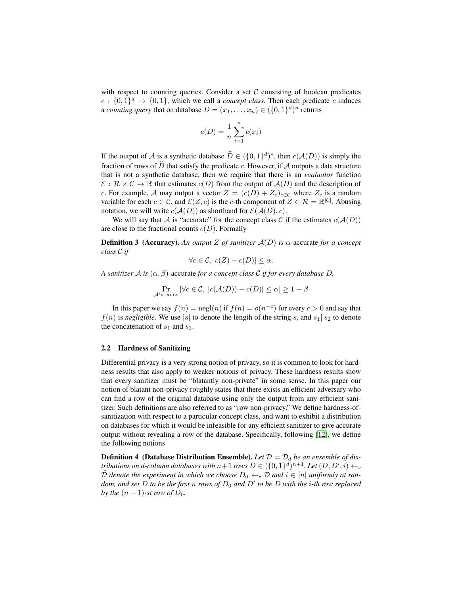with respect to counting queries. Consider a set  $C$  consisting of boolean predicates  $c: \{0,1\}^d \rightarrow \{0,1\}$ , which we call a *concept class*. Then each predicate c induces a *counting query* that on database  $D = (x_1, \ldots, x_n) \in (\{0, 1\}^d)^n$  returns

$$
c(D) = \frac{1}{n} \sum_{i=1}^{n} c(x_i)
$$

If the output of A is a synthetic database  $\widehat{D} \in (\{0,1\}^d)^*$ , then  $c(\mathcal{A}(D))$  is simply the fraction of rows of  $\widehat{D}$  that satisfy the predicate c. However, if A outputs a data structure that is not a synthetic database, then we require that there is an *evaluator* function  $\mathcal{E}: \mathcal{R} \times \mathcal{C} \to \mathbb{R}$  that estimates  $c(D)$  from the output of  $\mathcal{A}(D)$  and the description of c. For example, A may output a vector  $Z = (c(D) + Z_c)_{c \in \mathcal{C}}$  where  $Z_c$  is a random variable for each  $c \in \mathcal{C}$ , and  $\mathcal{E}(Z, c)$  is the c-th component of  $Z \in \mathcal{R} = \mathbb{R}^{|\mathcal{C}|}$ . Abusing notation, we will write  $c(A(D))$  as shorthand for  $\mathcal{E}(A(D), c)$ .

We will say that A is "accurate" for the concept class C if the estimates  $c(A(D))$ are close to the fractional counts  $c(D)$ . Formally

Definition 3 (Accuracy). *An output* Z *of sanitizer* A(D) *is* α-accurate *for a concept class* C *if*

$$
\forall c \in \mathcal{C}, |c(Z) - c(D)| \le \alpha.
$$

*A sanitizer* A *is* (α, β)-accurate *for a concept class* C *if for every database* D*,*

$$
\Pr_{\mathcal{A}'s \text{ coins}} \left[ \forall c \in \mathcal{C}, \ |c(\mathcal{A}(D)) - c(D)| \leq \alpha \right] \geq 1 - \beta
$$

In this paper we say  $f(n) = \text{negl}(n)$  if  $f(n) = o(n^{-c})$  for every  $c > 0$  and say that  $f(n)$  is *negligible*. We use |s| to denote the length of the string s, and  $s_1||s_2$  to denote the concatenation of  $s_1$  and  $s_2$ .

#### 2.2 Hardness of Sanitizing

Differential privacy is a very strong notion of privacy, so it is common to look for hardness results that also apply to weaker notions of privacy. These hardness results show that every sanitizer must be "blatantly non-private" in some sense. In this paper our notion of blatant non-privacy roughly states that there exists an efficient adversary who can find a row of the original database using only the output from any efficient sanitizer. Such definitions are also referred to as "row non-privacy." We define hardness-ofsanitization with respect to a particular concept class, and want to exhibit a distribution on databases for which it would be infeasible for any efficient sanitizer to give accurate output without revealing a row of the database. Specifically, following [\[12\]](#page-16-9), we define the following notions

<span id="page-5-0"></span>**Definition 4** (Database Distribution Ensemble). Let  $\mathcal{D} = \mathcal{D}_d$  be an ensemble of dis*tributions on d-column databases with n* + 1 *rows D*  $\in$   $(\{0,1\}^d)^{n+1}$ *. Let*  $(D, D', i) \leftarrow_R$  $\tilde{\mathcal{D}}$  *denote the experiment in which we choose*  $D_0 \leftarrow_R \mathcal{D}$  *and*  $i \in [n]$  *uniformly at random, and set* D to be the first n rows of  $D_0$  and  $D'$  to be D with the *i*-th row replaced *by the*  $(n + 1)$ -st row of  $D_0$ .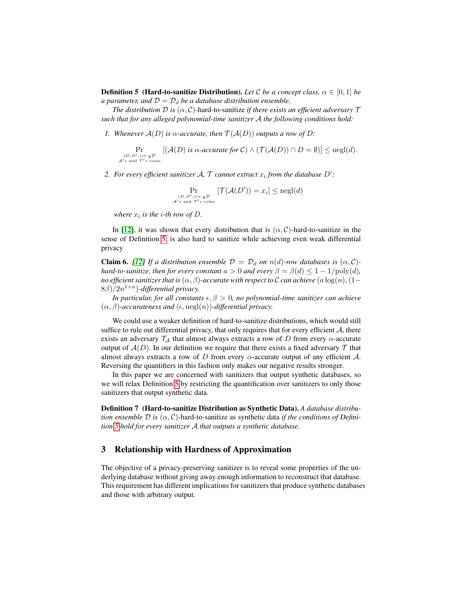**Definition 5** (Hard-to-sanitize Distribution). Let C be a concept class,  $\alpha \in [0, 1]$  be *a parameter, and*  $D = D_d$  *be a database distribution ensemble.* 

*The distribution*  $D$  *is*  $(\alpha, C)$ -hard-to-sanitize *if there exists an efficient adversary*  $\mathcal T$ *such that for any alleged polynomial-time sanitizer* A *the following conditions hold:*

*1. Whenever*  $A(D)$  *is*  $\alpha$ *-accurate, then*  $\mathcal{T}(A(D))$  *outputs a row of* D:

 $\Pr_{\substack{(D, D', i) \leftarrow_R \tilde{\mathcal{D}} \\ \mathcal{A}'s \text{ and } \mathcal{T}'s \text{ coins}}}$  $[(\mathcal{A}(D) \text{ is a accurate for } C) \wedge (\mathcal{T}(\mathcal{A}(D)) \cap D = \emptyset)] \leq negl(d).$ 

2. For every efficient sanitizer  $A$ ,  $T$  cannot extract  $x_i$  from the database  $D'$ :

$$
\Pr_{(D, D', i) \leftarrow_R \tilde{\mathcal{D}} \atop \mathcal{A}' s \text{ and } \mathcal{T}' s \text{ coins}} \left[ \mathcal{T}(\mathcal{A}(D')) = x_i \right] \le \text{negl}(d)
$$

where  $x_i$  is the *i*-th row of D.

In [\[12\]](#page-16-9), it was shown that every distribution that is  $(\alpha, C)$ -hard-to-sanitize in the sense of Definition [5,](#page-5-0) is also hard to sanitize while achieving even weak differential privacy

**Claim 6.** [\[12\]](#page-16-9) If a distribution ensemble  $\mathcal{D} = \mathcal{D}_d$  on  $n(d)$ -row databases is  $(\alpha, C)$ *hard-to-sanitize, then for every constant*  $a > 0$  *and every*  $\beta = \beta(d) \leq 1 - 1/\text{poly}(d)$ , *no efficient sanitizer that is*  $(\alpha, \beta)$ -accurate with respect to C can achieve  $(a \log(n), (1-\beta))$  $(8\beta)/2n^{1+a}$ )-differential privacy.

*In particular, for all constants*  $\epsilon, \beta > 0$ *, no polynomial-time sanitizer can achieve*  $(\alpha, \beta)$ -accurateness and  $(\epsilon, \text{negl}(n))$ -differential privacy.

We could use a weaker definition of hard-to-sanitize distributions, which would still suffice to rule out differential privacy, that only requires that for every efficient  $A$ , there exists an adversary  $\mathcal{T}_A$  that almost always extracts a row of D from every  $\alpha$ -accurate output of  $A(D)$ . In our definition we require that there exists a fixed adversary T that almost always extracts a row of  $D$  from every  $\alpha$ -accurate output of any efficient  $\mathcal{A}$ . Reversing the quantifiers in this fashion only makes our negative results stronger.

In this paper we are concerned with sanitizers that output synthetic databases, so we will relax Definition [5](#page-5-0) by restricting the quantification over sanitizers to only those sanitizers that output synthetic data.

Definition 7 (Hard-to-sanitize Distribution as Synthetic Data). *A database distribution ensemble*  $\mathcal D$  *is* ( $\alpha$ ,  $\mathcal C$ )-hard-to-sanitize as synthetic data *if the conditions of Definition [5](#page-5-0) hold for every sanitizer* A *that outputs a synthetic database.*

# 3 Relationship with Hardness of Approximation

The objective of a privacy-preserving sanitizer is to reveal some properties of the underlying database without giving away enough information to reconstruct that database. This requirement has different implications for sanitizers that produce synthetic databases and those with arbitrary output.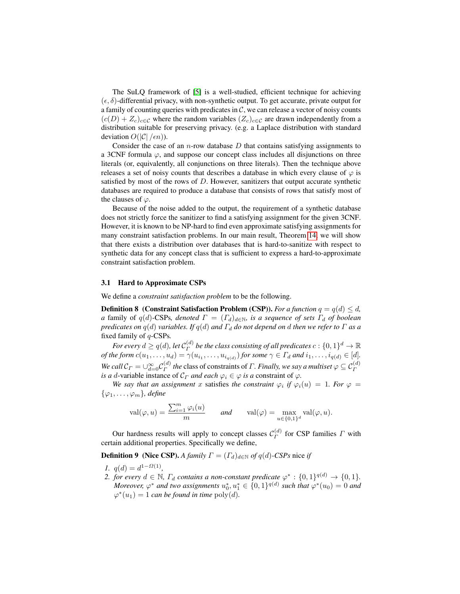The SuLQ framework of [\[5\]](#page-15-1) is a well-studied, efficient technique for achieving  $(\epsilon, \delta)$ -differential privacy, with non-synthetic output. To get accurate, private output for a family of counting queries with predicates in  $C$ , we can release a vector of noisy counts  $(c(D) + Z_c)_{c \in \mathcal{C}}$  where the random variables  $(Z_c)_{c \in \mathcal{C}}$  are drawn independently from a distribution suitable for preserving privacy. (e.g. a Laplace distribution with standard deviation  $O(|\mathcal{C}|/\epsilon n)$ ).

Consider the case of an *n*-row database  $D$  that contains satisfying assignments to a 3CNF formula  $\varphi$ , and suppose our concept class includes all disjunctions on three literals (or, equivalently, all conjunctions on three literals). Then the technique above releases a set of noisy counts that describes a database in which every clause of  $\varphi$  is satisfied by most of the rows of  $D$ . However, sanitizers that output accurate synthetic databases are required to produce a database that consists of rows that satisfy most of the clauses of  $\varphi$ .

Because of the noise added to the output, the requirement of a synthetic database does not strictly force the sanitizer to find a satisfying assignment for the given 3CNF. However, it is known to be NP-hard to find even approximate satisfying assignments for many constraint satisfaction problems. In our main result, Theorem [14,](#page-9-0) we will show that there exists a distribution over databases that is hard-to-sanitize with respect to synthetic data for any concept class that is sufficient to express a hard-to-approximate constraint satisfaction problem.

#### 3.1 Hard to Approximate CSPs

<span id="page-7-0"></span>We define a *constraint satisfaction problem* to be the following.

**Definition 8** (Constraint Satisfaction Problem (CSP)). *For a function*  $q = q(d) \leq d$ , *a* family of  $q(d)$ -CSPs, denoted  $\Gamma = (\Gamma_d)_{d \in \mathbb{N}}$ , is a sequence of sets  $\Gamma_d$  of boolean *predicates on*  $q(d)$  *variables. If*  $q(d)$  *and*  $\Gamma_d$  *do not depend on d then we refer to*  $\Gamma$  *as a* fixed family of q-CSPs*.*

For every  $d\geq q(d)$ , let  $\mathcal{C}^{(d)}_\varGamma$  $F^{(d)}_{\Gamma}$  be the class consisting of all predicates  $c:\{0,1\}^{d} \rightarrow \mathbb{R}^{d}$ *of the form*  $c(u_1, \ldots, u_d) = \gamma(u_{i_1}, \ldots, u_{i_{q(d)}})$  *for some*  $\gamma \in \Gamma_d$  *and*  $i_1, \ldots, i_{q(d)} \in [d]$ *. We call*  $C_{\Gamma} = \bigcup_{d=0}^{\infty} C_{\Gamma}^{(d)}$  $\mathcal{F}_\Gamma^{(d)}$  the class of constraints of *Γ*. Finally, we say a multiset  $\varphi \subseteq \mathcal{C}^{(d)}_\Gamma$ *is a d*-variable instance of  $\mathcal{C}_{\Gamma}$  *and each*  $\varphi_i \in \varphi$  *is a* constraint of  $\varphi$ .

*We say that an assignment* x satisfies the constraint  $\varphi_i$  if  $\varphi_i(u) = 1$ . For  $\varphi =$  $\{\varphi_1,\ldots,\varphi_m\}$ *, define* 

<span id="page-7-1"></span>
$$
\operatorname{val}(\varphi,u) = \frac{\sum_{i=1}^m \varphi_i(u)}{m} \quad \text{and} \quad \operatorname{val}(\varphi) = \max_{u \in \{0,1\}^d} \operatorname{val}(\varphi,u).
$$

Our hardness results will apply to concept classes  $\mathcal{C}_{\Gamma}^{(d)}$  $\int_{\Gamma}^{(a)}$  for CSP families  $\Gamma$  with certain additional properties. Specifically we define,

**Definition 9** (Nice CSP). *A family*  $\Gamma = (\Gamma_d)_{d \in \mathbb{N}}$  of  $q(d)$ -CSPs nice *if* 

- *1.*  $q(d) = d^{1-\Omega(1)}$ ,
- 2. *for every*  $d \in \mathbb{N}$ ,  $\Gamma_d$  *contains a non-constant predicate*  $\varphi^* : \{0,1\}^{q(d)} \to \{0,1\}$ . *Moreover,*  $\varphi^*$  and two assignments  $u_0^*, u_1^* \in \{0,1\}^{q(d)}$  such that  $\varphi^*(u_0) = 0$  and  $\varphi^*(u_1) = 1$  *can be found in time*  $\text{poly}(d)$ *.*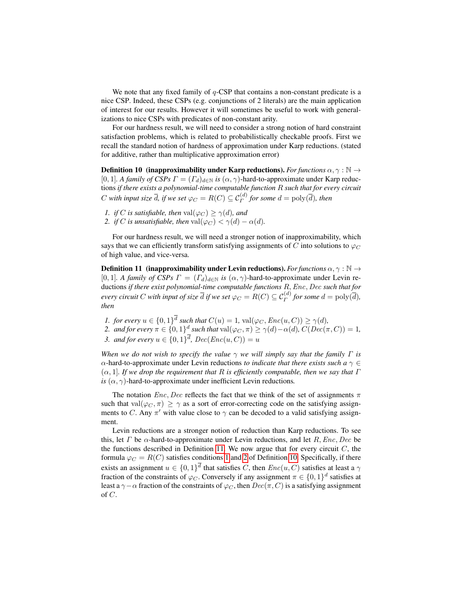We note that any fixed family of  $q$ -CSP that contains a non-constant predicate is a nice CSP. Indeed, these CSPs (e.g. conjunctions of 2 literals) are the main application of interest for our results. However it will sometimes be useful to work with generalizations to nice CSPs with predicates of non-constant arity.

For our hardness result, we will need to consider a strong notion of hard constraint satisfaction problems, which is related to probabilistically checkable proofs. First we recall the standard notion of hardness of approximation under Karp reductions. (stated for additive, rather than multiplicative approximation error)

<span id="page-8-3"></span>**Definition 10 (inapproximability under Karp reductions).** *For functions*  $\alpha, \gamma : \mathbb{N} \rightarrow$ [0, 1]*. A family of CSPs*  $\Gamma = (\Gamma_d)_{d \in \mathbb{N}}$  *is*  $(\alpha, \gamma)$ -hard-to-approximate under Karp reductions *if there exists a polynomial-time computable function* R *such that for every circuit* C with input size  $\overline{d}$ , if we set  $\varphi_C = R(C) \subseteq \mathcal{C}^{(d)}_\Gamma$  for some  $d = \text{poly}(\overline{d})$ , then

- <span id="page-8-1"></span>*1. if C is satisfiable, then*  $\text{val}(\varphi_C) \geq \gamma(d)$ *, and*
- <span id="page-8-2"></span>*2. if* C *is unsatisfiable, then*  $\text{val}(\varphi_C) < \gamma(d) - \alpha(d)$ *.*

<span id="page-8-0"></span>For our hardness result, we will need a stronger notion of inapproximability, which says that we can efficiently transform satisfying assignments of C into solutions to  $\varphi_C$ of high value, and vice-versa.

**Definition 11 (inapproximability under Levin reductions).** *For functions*  $\alpha, \gamma : \mathbb{N} \rightarrow$ [0, 1]*. A family of CSPs*  $\Gamma = (\Gamma_d)_{d \in \mathbb{N}}$  *is*  $(\alpha, \gamma)$ -hard-to-approximate under Levin reductions *if there exist polynomial-time computable functions* R,Enc, Dec *such that for every circuit*  $C$  *with input of size*  $\overline{d}$  *if we set*  $\varphi_C = R(C) \subseteq \mathcal{C}^{(d)}_\varGamma$  *for some*  $d = \mathrm{poly}(\overline{d}),$ *then*

- *1. for every*  $u \in \{0,1\}^d$  *such that*  $C(u) = 1$ ,  $val(\varphi_C, Enc(u, C)) \ge \gamma(d)$ *,*
- 2. *and for every*  $\pi \in \{0,1\}^d$  such that  $\text{val}(\varphi_C, \pi) \ge \gamma(d) \alpha(d)$ ,  $C(Dec(\pi, C)) = 1$ , *3. and for every*  $u \in \{0, 1\}^d$ ,  $Dec(Enc(u, C)) = u$

*When we do not wish to specify the value*  $\gamma$  *we will simply say that the family*  $\Gamma$  *is* α-hard-to-approximate under Levin reductions *to indicate that there exists such a*  $\gamma \in$ (α, 1]*. If we drop the requirement that* R *is efficiently computable, then we say that* Γ *is*  $(\alpha, \gamma)$ -hard-to-approximate under inefficient Levin reductions.

The notation  $Enc$ , Dec reflects the fact that we think of the set of assignments  $\pi$ such that val $(\varphi_C, \pi) \geq \gamma$  as a sort of error-correcting code on the satisfying assignments to C. Any  $\pi'$  with value close to  $\gamma$  can be decoded to a valid satisfying assignment.

Levin reductions are a stronger notion of reduction than Karp reductions. To see this, let  $\Gamma$  be  $\alpha$ -hard-to-approximate under Levin reductions, and let  $R, Enc, Dec$  be the functions described in Definition [11.](#page-8-0) We now argue that for every circuit  $C$ , the formula  $\varphi_C = R(C)$  satisfies conditions [1](#page-8-1) and [2](#page-8-2) of Definition [10.](#page-8-3) Specifically, if there exists an assignment  $u \in \{0,1\}^d$  that satisfies C, then  $Enc(u, C)$  satisfies at least a  $\gamma$ fraction of the constraints of  $\varphi_C$ . Conversely if any assignment  $\pi \in \{0,1\}^d$  satisfies at least a  $\gamma-\alpha$  fraction of the constraints of  $\varphi_C$ , then  $Dec(\pi, C)$  is a satisfying assignment of C.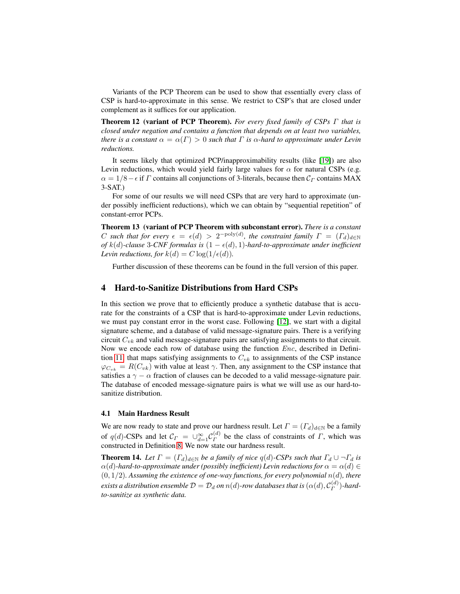<span id="page-9-1"></span>Variants of the PCP Theorem can be used to show that essentially every class of CSP is hard-to-approximate in this sense. We restrict to CSP's that are closed under complement as it suffices for our application.

Theorem 12 (variant of PCP Theorem). *For every fixed family of CSPs* Γ *that is closed under negation and contains a function that depends on at least two variables, there is a constant*  $\alpha = \alpha(\Gamma) > 0$  *such that*  $\Gamma$  *is*  $\alpha$ *-hard to approximate under Levin reductions.*

It seems likely that optimized PCP/inapproximability results (like [\[19\]](#page-16-19)) are also Levin reductions, which would yield fairly large values for  $\alpha$  for natural CSPs (e.g.  $\alpha = 1/8 - \epsilon$  if Γ contains all conjunctions of 3-literals, because then  $C_{\Gamma}$  contains MAX 3-SAT.)

For some of our results we will need CSPs that are very hard to approximate (under possibly inefficient reductions), which we can obtain by "sequential repetition" of constant-error PCPs.

<span id="page-9-2"></span>Theorem 13 (variant of PCP Theorem with subconstant error). *There is a constant* C such that for every  $\epsilon = \epsilon(d) > 2^{-\text{poly}(d)}$ , the constraint family  $\Gamma = (T_d)_{d \in \mathbb{N}}$ *of*  $k(d)$ -clause 3-CNF formulas is  $(1 − ε(d), 1)$ -hard-to-approximate under inefficient *Levin reductions, for*  $k(d) = C \log(1/\epsilon(d))$ *.* 

Further discussion of these theorems can be found in the full version of this paper.

## 4 Hard-to-Sanitize Distributions from Hard CSPs

In this section we prove that to efficiently produce a synthetic database that is accurate for the constraints of a CSP that is hard-to-approximate under Levin reductions, we must pay constant error in the worst case. Following [\[12\]](#page-16-9), we start with a digital signature scheme, and a database of valid message-signature pairs. There is a verifying circuit  $C_{vk}$  and valid message-signature pairs are satisfying assignments to that circuit. Now we encode each row of database using the function *Enc*, described in Defini-tion [11,](#page-8-0) that maps satisfying assignments to  $C_{vk}$  to assignments of the CSP instance  $\varphi_{C_{vk}} = R(C_{vk})$  with value at least  $\gamma$ . Then, any assignment to the CSP instance that satisfies a  $\gamma - \alpha$  fraction of clauses can be decoded to a valid message-signature pair. The database of encoded message-signature pairs is what we will use as our hard-tosanitize distribution.

#### 4.1 Main Hardness Result

We are now ready to state and prove our hardness result. Let  $\Gamma = (T_d)_{d \in \mathbb{N}}$  be a family of q(d)-CSPs and let  $\mathcal{C}_{\Gamma} = \bigcup_{d=1}^{\infty} \mathcal{C}_{\Gamma}^{(d)}$  $\Gamma$ <sup>(*a*)</sup> be the class of constraints of  $\Gamma$ , which was constructed in Definition [8.](#page-7-0) We now state our hardness result.

<span id="page-9-0"></span>**Theorem 14.** Let  $\Gamma = (\Gamma_d)_{d \in \mathbb{N}}$  be a family of nice  $q(d)$ -CSPs such that  $\Gamma_d \cup \neg \Gamma_d$  is  $\alpha(d)$ *-hard-to-approximate under (possibly inefficient) Levin reductions for*  $\alpha = \alpha(d) \in$  $(0, 1/2)$ *. Assuming the existence of one-way functions, for every polynomial*  $n(d)$ *, there*  $e$ xists a distribution ensemble  $\mathcal{D} = \mathcal{D}_d$  on  $n(d)$ -row databases that is  $(\alpha(d), \mathcal{C}^{(d)}_\Gamma)$  $\binom{a}{\Gamma}$ -hard*to-sanitize as synthetic data.*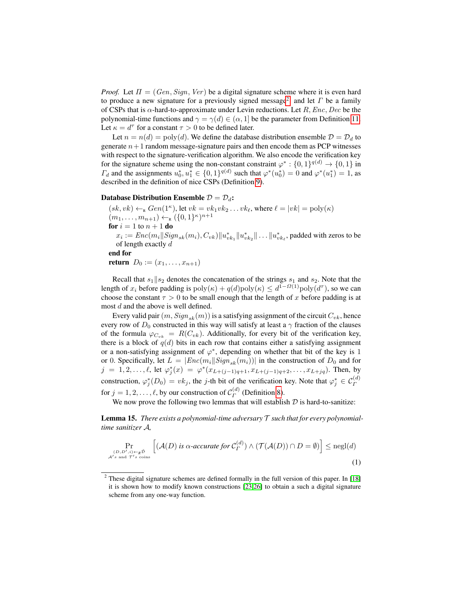*Proof.* Let  $\Pi = (Gen, Sign, Ver)$  be a digital signature scheme where it is even hard to produce a new signature for a previously signed message<sup>[2](#page-10-0)</sup>. and let  $\Gamma$  be a family of CSPs that is  $\alpha$ -hard-to-approximate under Levin reductions. Let R, Enc, Dec be the polynomial-time functions and  $\gamma = \gamma(d) \in (\alpha, 1]$  be the parameter from Definition [11.](#page-8-0) Let  $\kappa = d^{\tau}$  for a constant  $\tau > 0$  to be defined later.

Let  $n = n(d) = \text{poly}(d)$ . We define the database distribution ensemble  $\mathcal{D} = \mathcal{D}_d$  to generate  $n+1$  random message-signature pairs and then encode them as PCP witnesses with respect to the signature-verification algorithm. We also encode the verification key for the signature scheme using the non-constant constraint  $\varphi^* : \{0,1\}^{q(d)} \to \{0,1\}$  in  $\Gamma_d$  and the assignments  $u_0^*, u_1^* \in \{0, 1\}^{q(d)}$  such that  $\varphi^*(u_0^*) = 0$  and  $\varphi^*(u_1^*) = 1$ , as described in the definition of nice CSPs (Definition [9\)](#page-7-1).

## Database Distribution Ensemble  $\mathcal{D} = \mathcal{D}_d$ :

 $(sk, vk) \leftarrow_R Gen(1^{\kappa})$ , let  $vk = vk_1vk_2 \dots vk_{\ell}$ , where  $\ell = |vk| = \text{poly}(\kappa)$  $(m_1, \ldots, m_{n+1}) \leftarrow_R (\{0, 1\}^{\kappa})^{n+1}$ for  $i = 1$  to  $n + 1$  do  $x_i := Enc(m_i || Sign_{sk}(m_i), C_{vk}) ||u^*_{vk_1} ||u^*_{vk_2} || \dots ||u^*_{vk_\ell}$ , padded with zeros to be of length exactly d end for return  $D_0 := (x_1, \ldots, x_{n+1})$ 

Recall that  $s_1||s_2$  denotes the concatenation of the strings  $s_1$  and  $s_2$ . Note that the length of  $x_i$  before padding is  $poly(\kappa) + q(d)poly(\kappa) \leq d^{1-\Omega(1)}poly(d^{\tau})$ , so we can choose the constant  $\tau > 0$  to be small enough that the length of x before padding is at most d and the above is well defined.

Every valid pair  $(m, Sign_{sk}(m))$  is a satisfying assignment of the circuit  $C_{vk}$ , hence every row of  $D_0$  constructed in this way will satisfy at least a  $\gamma$  fraction of the clauses of the formula  $\varphi_{C_{vk}} = R(C_{vk})$ . Additionally, for every bit of the verification key, there is a block of  $q(d)$  bits in each row that contains either a satisfying assignment or a non-satisfying assignment of  $\varphi^*$ , depending on whether that bit of the key is 1 or 0. Specifically, let  $L = |Enc(m_i||Sign_{sk}(m_i))|$  in the construction of  $D_0$  and for  $j = 1, 2, \ldots, \ell$ , let  $\varphi_j^*(x) = \varphi^*(x_{L+(j-1)q+1}, x_{L+(j-1)q+2}, \ldots, x_{L+jq})$ . Then, by construction,  $\varphi_j^*(D_0) = vk_j$ , the j-th bit of the verification key. Note that  $\varphi_j^* \in C_{\Gamma}^{(d)}$ for  $j = 1, 2, \dots, \ell$ , by our construction of  $\mathcal{C}_{\Gamma}^{(d)}$  $\int_{\Gamma}^{(a)}$  (Definition [8\)](#page-7-0).

We now prove the following two lemmas that will establish  $D$  is hard-to-sanitize:

Lemma 15. *There exists a polynomial-time adversary* T *such that for every polynomialtime sanitizer* A*,*

<span id="page-10-1"></span>
$$
\Pr_{(D, D', i) \leftarrow_R \tilde{\mathcal{D}} \atop \mathcal{A}'s \text{ and } \mathcal{T}'s \text{ coins}} \left[ (\mathcal{A}(D) \text{ is a accurate for } \mathcal{C}_{\Gamma}^{(d)}) \land (\mathcal{T}(\mathcal{A}(D)) \cap D = \emptyset) \right] \le \text{negl}(d)
$$
\n(1)

<span id="page-10-0"></span><sup>&</sup>lt;sup>2</sup> These digital signature schemes are defined formally in the full version of this paper. In [\[18\]](#page-16-20) it is shown how to modify known constructions [\[23](#page-16-21)[,26\]](#page-16-22) to obtain a such a digital signature scheme from any one-way function.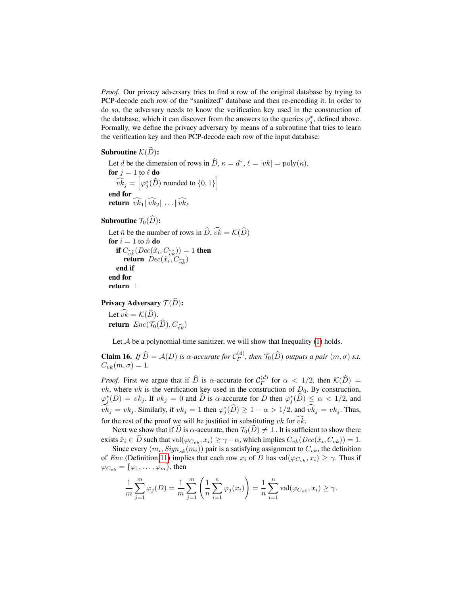*Proof.* Our privacy adversary tries to find a row of the original database by trying to PCP-decode each row of the "sanitized" database and then re-encoding it. In order to do so, the adversary needs to know the verification key used in the construction of the database, which it can discover from the answers to the queries  $\varphi_j^*$ , defined above. Formally, we define the privacy adversary by means of a subroutine that tries to learn the verification key and then PCP-decode each row of the input database:

Subroutine  $\mathcal{K}(\widehat{D})$ :

Let d be the dimension of rows in  $\hat{D}$ ,  $\kappa = d^{\tau}$ ,  $\ell = |vk| = \text{poly}(\kappa)$ . for  $j = 1$  to  $\ell$  do  $\widehat{vk}_j = \left[\varphi_j^*(\widehat{D}) \text{ rounded to } \{0,1\}\right]$ end for return  $\widehat{vk}_1\|\widehat{vk}_2\| \dots \|\widehat{vk}_\ell\|$ 

Subroutine  $\mathcal{T}_0(\widehat D)$ :

Let  $\hat{n}$  be the number of rows in  $\hat{D}, \hat{vk} = \mathcal{K}(\hat{D})$ for  $i = 1$  to  $\hat{n}$  do if  $C_{\widehat{vk}}(Dec(\hat{x}_i, C_{\widehat{vk}})) = 1$  then<br>return  $Dec(\hat{x}_i, C_{\widehat{vk}})$ end if end for return ⊥

Privacy Adversary  $\mathcal{T}(\widehat{D})$ :

Let  $\widehat{vk} = \mathcal{K}(\widehat{D})$ . return  $Enc(\mathcal{T}_0(\widehat{D}), C_{\widehat{w}_0})$ 

Let  $A$  be a polynomial-time sanitizer, we will show that Inequality  $(1)$  holds.

<span id="page-11-0"></span>**Claim 16.** *If*  $\widehat{D} = A(D)$  *is*  $\alpha$ -accurate for  $C_{\Gamma}^{(d)}$  $T^{(a)}$ , then  $T_0(D)$  *outputs a pair*  $(m, \sigma)$  *s.t.*  $C_{vk}(m, \sigma) = 1.$ 

*Proof.* First we argue that if  $\widehat{D}$  is  $\alpha$ -accurate for  $C_{\Gamma}^{(d)}$  $\int_{\Gamma}^{(a)}$  for  $\alpha < 1/2$ , then  $\mathcal{K}(D) =$ *vk*, where *vk* is the verification key used in the construction of  $D_0$ . By construction,  $\varphi_j^*(D) = vk_j$ . If  $vk_j = 0$  and  $\widehat{D}$  is  $\alpha$ -accurate for D then  $\varphi_j^*(\widehat{D}) \leq \alpha < 1/2$ , and  $\widehat{vk}_j = vk_j$ . Similarly, if  $vk_j = 1$  then  $\varphi_j^*(\widehat{D}) \geq 1 - \alpha > 1/2$ , and  $\widehat{vk}_j = vk_j$ . Thus, for the rest of the proof we will be justified in substituting  $vk$  for  $\hat{vk}$ .

Next we show that if  $\hat{D}$  is  $\alpha$ -accurate, then  $\mathcal{T}_0(\hat{D}) \neq \bot$ . It is sufficient to show there exists  $\hat{x}_i \in D$  such that  $\text{val}(\varphi_{C_{vk}}, x_i) \ge \gamma - \alpha$ , which implies  $C_{vk}(Dec(\hat{x}_i, C_{vk})) = 1$ .

Since every  $(m_i, Sign_{sk}(m_i))$  pair is a satisfying assignment to  $C_{vk}$ , the definition of *Enc* (Definition [11\)](#page-8-0) implies that each row  $x_i$  of D has val $(\varphi_{C_{nk}}, x_i) \geq \gamma$ . Thus if  $\varphi_{C_{vk}} = {\varphi_1, \ldots, \varphi_m}$ , then

$$
\frac{1}{m} \sum_{j=1}^{m} \varphi_j(D) = \frac{1}{m} \sum_{j=1}^{m} \left( \frac{1}{n} \sum_{i=1}^{n} \varphi_j(x_i) \right) = \frac{1}{n} \sum_{i=1}^{n} \text{val}(\varphi_{C_{vk}}, x_i) \ge \gamma.
$$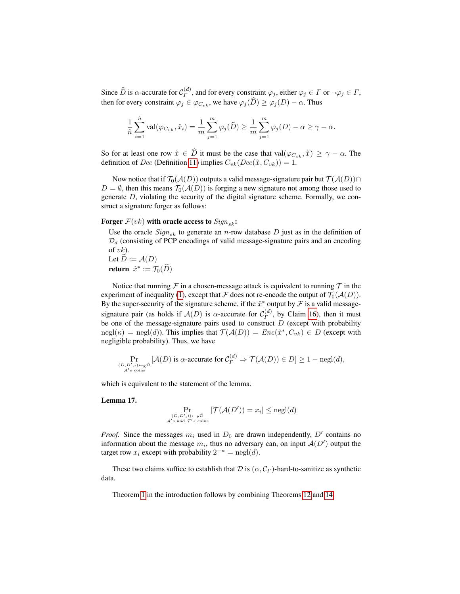Since  $\widehat{D}$  is  $\alpha$ -accurate for  $\mathcal{C}_{\Gamma}^{(d)}$  $\mathcal{L}_{\Gamma}^{(a)}$ , and for every constraint  $\varphi_j$ , either  $\varphi_j \in \Gamma$  or  $\neg \varphi_j \in \Gamma$ , then for every constraint  $\varphi_j \in \varphi_{C_{vk}}$ , we have  $\varphi_j(\widehat{D}) \ge \varphi_j(D) - \alpha$ . Thus

$$
\frac{1}{\hat{n}}\sum_{i=1}^{\hat{n}} \text{val}(\varphi_{C_{vk}}, \hat{x}_i) = \frac{1}{m}\sum_{j=1}^m \varphi_j(\widehat{D}) \ge \frac{1}{m}\sum_{j=1}^m \varphi_j(D) - \alpha \ge \gamma - \alpha.
$$

So for at least one row  $\hat{x} \in \hat{D}$  it must be the case that val $(\varphi_{C_{nk}}, \hat{x}) \geq \gamma - \alpha$ . The definition of Dec (Definition [11\)](#page-8-0) implies  $C_{vk}(Dec(\hat{x}, C_{vk})) = 1$ .

Now notice that if  $\mathcal{T}_0(\mathcal{A}(D))$  outputs a valid message-signature pair but  $\mathcal{T}(\mathcal{A}(D)) \cap$  $D = \emptyset$ , then this means  $\mathcal{T}_0(A(D))$  is forging a new signature not among those used to generate D, violating the security of the digital signature scheme. Formally, we construct a signature forger as follows:

## Forger  $F(vk)$  with oracle access to  $Sign_{sk}$ :

Use the oracle  $Sign_{sk}$  to generate an n-row database D just as in the definition of  $\mathcal{D}_d$  (consisting of PCP encodings of valid message-signature pairs and an encoding of  $vk$ ). Let  $\hat{D} := \mathcal{A}(D)$ **return**  $\hat{x}^* := \mathcal{T}_0(\widehat{D})$ 

Notice that running  $\mathcal F$  in a chosen-message attack is equivalent to running  $\mathcal T$  in the experiment of inequality [\(1\)](#page-10-1), except that  $\mathcal F$  does not re-encode the output of  $\mathcal T_0(\mathcal A(D))$ . By the super-security of the signature scheme, if the  $\hat{x}^*$  output by  $\hat{\mathcal{F}}$  is a valid messagesignature pair (as holds if  $A(D)$  is  $\alpha$ -accurate for  $C_p^{(d)}$  $\int_{\Gamma}^{(u)}$ , by Claim [16\)](#page-11-0), then it must be one of the message-signature pairs used to construct  $D$  (except with probability  $negl(\kappa) = negl(d)$ ). This implies that  $\mathcal{T}(\mathcal{A}(D)) = Enc(\hat{x}^*, C_{vk}) \in D$  (except with negligible probability). Thus, we have

$$
\Pr_{(D, D', i) \leftarrow_R \bar{\mathcal{D}} \atop \mathcal{A}'s \text{ coins}} [\mathcal{A}(D) \text{ is } \alpha\text{-accurate for } \mathcal{C}_{\Gamma}^{(d)} \Rightarrow \mathcal{T}(\mathcal{A}(D)) \in D] \ge 1 - \text{negl}(d),
$$

which is equivalent to the statement of the lemma.

Lemma 17.

$$
\Pr_{(D, D', i) \leftarrow_R \tilde{\mathcal{D}} \atop \mathcal{A}' s \text{ and } \mathcal{T}' s \text{ coins}} \left[ \mathcal{T}(\mathcal{A}(D')) = x_i \right] \le \text{negl}(d)
$$

*Proof.* Since the messages  $m_i$  used in  $D_0$  are drawn independently,  $D'$  contains no information about the message  $m_i$ , thus no adversary can, on input  $\mathcal{A}(D')$  output the target row  $x_i$  except with probability  $2^{-\kappa} = \text{negl}(d)$ .

These two claims suffice to establish that D is  $(\alpha, C_{\Gamma})$ -hard-to-sanitize as synthetic data.

Theorem [1](#page-2-1) in the introduction follows by combining Theorems [12](#page-9-1) and [14.](#page-9-0)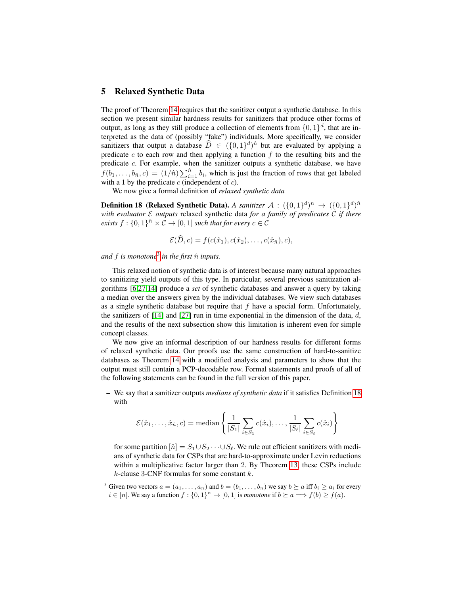## 5 Relaxed Synthetic Data

The proof of Theorem [14](#page-9-0) requires that the sanitizer output a synthetic database. In this section we present similar hardness results for sanitizers that produce other forms of output, as long as they still produce a collection of elements from  $\{0,1\}^d$ , that are interpreted as the data of (possibly "fake") individuals. More specifically, we consider sanitizers that output a database  $\widehat{D} \in (\{0, 1\}^d)^{\hat{n}}$  but are evaluated by applying a predicate c to each row and then applying a function  $f$  to the resulting bits and the predicate c. For example, when the sanitizer outputs a synthetic database, we have  $f(b_1, \ldots, b_{\hat{n}}, c) = (1/\hat{n}) \sum_{i=1}^{\hat{n}} b_i$ , which is just the fraction of rows that get labeled with a 1 by the predicate  $c$  (independent of  $c$ ).

We now give a formal definition of *relaxed synthetic data*

**Definition 18 (Relaxed Synthetic Data).** A sanitizer  $A : (\{0,1\}^d)^n \rightarrow (\{0,1\}^d)^{\hat{n}}$ *with evaluator* E *outputs* relaxed synthetic data *for a family of predicates* C *if there exists*  $f: \{0,1\}^{\hat{n}} \times C \rightarrow [0,1]$  *such that for every*  $c \in C$ 

<span id="page-13-1"></span>
$$
\mathcal{E}(D,c) = f(c(\hat{x}_1), c(\hat{x}_2), \dots, c(\hat{x}_{\hat{n}}), c),
$$

*and* f is monotone<sup>[3](#page-13-0)</sup> in the first  $\hat{n}$  inputs.

This relaxed notion of synthetic data is of interest because many natural approaches to sanitizing yield outputs of this type. In particular, several previous sanitization algorithms [\[6,](#page-15-3)[27](#page-16-13)[,14\]](#page-16-14) produce a *set* of synthetic databases and answer a query by taking a median over the answers given by the individual databases. We view such databases as a single synthetic database but require that  $f$  have a special form. Unfortunately, the sanitizers of  $[14]$  and  $[27]$  run in time exponential in the dimension of the data, d, and the results of the next subsection show this limitation is inherent even for simple concept classes.

We now give an informal description of our hardness results for different forms of relaxed synthetic data. Our proofs use the same construction of hard-to-sanitize databases as Theorem [14](#page-9-0) with a modified analysis and parameters to show that the output must still contain a PCP-decodable row. Formal statements and proofs of all of the following statements can be found in the full version of this paper.

– We say that a sanitizer outputs *medians of synthetic data* if it satisfies Definition [18](#page-13-1) with

$$
\mathcal{E}(\hat{x}_1,\ldots,\hat{x}_{\hat{n}},c) = \text{median}\left\{\frac{1}{|S_1|}\sum_{i\in S_1}c(\hat{x}_i),\ldots,\frac{1}{|S_\ell|}\sum_{i\in S_\ell}c(\hat{x}_i)\right\}
$$

for some partition  $[\hat{n}] = S_1 \cup S_2 \cdots \cup S_\ell$ . We rule out efficient sanitizers with medians of synthetic data for CSPs that are hard-to-approximate under Levin reductions within a multiplicative factor larger than 2. By Theorem [13,](#page-9-2) these CSPs include  $k$ -clause 3-CNF formulas for some constant  $k$ .

<span id="page-13-0"></span><sup>&</sup>lt;sup>3</sup> Given two vectors  $a = (a_1, \ldots, a_n)$  and  $b = (b_1, \ldots, b_n)$  we say  $b \succeq a$  iff  $b_i \geq a_i$  for every  $i \in [n]$ . We say a function  $f : \{0, 1\}^n \to [0, 1]$  is *monotone* if  $b \succeq a \Longrightarrow f(b) \ge f(a)$ .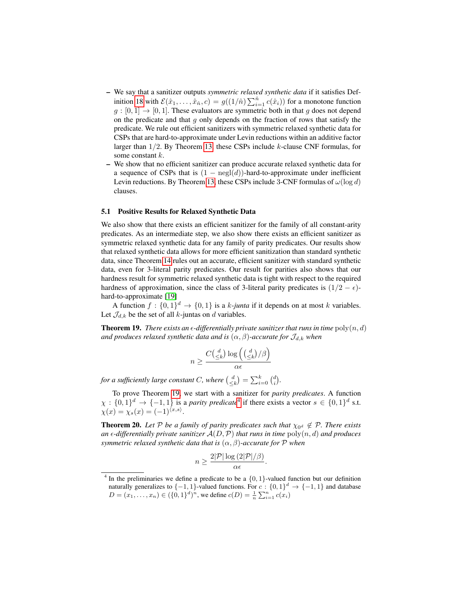- We say that a sanitizer outputs *symmetric relaxed synthetic data* if it satisfies Def-inition [18](#page-13-1) with  $\mathcal{E}(\hat{x}_1,\ldots,\hat{x}_{\hat{n}},c) = g((1/\hat{n})\sum_{i=1}^{\hat{n}} c(\hat{x}_i))$  for a monotone function  $g : [0, 1] \rightarrow [0, 1]$ . These evaluators are symmetric both in that g does not depend on the predicate and that  $g$  only depends on the fraction of rows that satisfy the predicate. We rule out efficient sanitizers with symmetric relaxed synthetic data for CSPs that are hard-to-approximate under Levin reductions within an additive factor larger than 1/2. By Theorem [13,](#page-9-2) these CSPs include k-clause CNF formulas, for some constant k.
- We show that no efficient sanitizer can produce accurate relaxed synthetic data for a sequence of CSPs that is  $(1 - negl(d))$ -hard-to-approximate under inefficient Levin reductions. By Theorem [13,](#page-9-2) these CSPs include 3-CNF formulas of  $\omega(\log d)$ clauses.

#### 5.1 Positive Results for Relaxed Synthetic Data

We also show that there exists an efficient sanitizer for the family of all constant-arity predicates. As an intermediate step, we also show there exists an efficient sanitizer as symmetric relaxed synthetic data for any family of parity predicates. Our results show that relaxed synthetic data allows for more efficient sanitization than standard synthetic data, since Theorem [14](#page-9-0) rules out an accurate, efficient sanitizer with standard synthetic data, even for 3-literal parity predicates. Our result for parities also shows that our hardness result for symmetric relaxed synthetic data is tight with respect to the required hardness of approximation, since the class of 3-literal parity predicates is  $(1/2 - \epsilon)$ hard-to-approximate [\[19\]](#page-16-19)

A function  $f: \{0,1\}^d \to \{0,1\}$  is a *k*-junta if it depends on at most *k* variables. Let  $\mathcal{J}_{d,k}$  be the set of all k-juntas on d variables.

<span id="page-14-0"></span>**Theorem 19.** *There exists an*  $\epsilon$ -differentially private sanitizer that runs in time  $poly(n, d)$ *and produces relaxed synthetic data and is*  $(\alpha, \beta)$ -accurate for  $\mathcal{J}_{d,k}$  when

$$
n \ge \frac{C\left(\frac{d}{\le k}\right) \log\left(\left(\frac{d}{\le k}\right) / \beta\right)}{\alpha \epsilon}
$$

for a sufficiently large constant C, where  $\binom{d}{\leq k} = \sum_{i=0}^{k} \binom{d}{i}$ .

To prove Theorem [19,](#page-14-0) we start with a sanitizer for *parity predicates*. A function  $\chi: \{0,1\}^d \to \{-1,1\}$  is a *parity predicate*<sup>[4](#page-14-1)</sup> if there exists a vector  $s \in \{0,1\}^d$  s.t.  $\chi(x) = \chi_s(x) = (-1)^{\langle x, s \rangle}.$ 

<span id="page-14-2"></span>**Theorem 20.** Let P be a family of parity predicates such that  $\chi_{0^d} \notin \mathcal{P}$ . There exists *an*  $\epsilon$ -differentially private sanitizer  $\mathcal{A}(D, \mathcal{P})$  that runs in time  $\text{poly}(n, d)$  and produces *symmetric relaxed synthetic data that is* (α, β)*-accurate for* P *when*

$$
n \ge \frac{2|\mathcal{P}| \log (2|\mathcal{P}|/\beta)}{\alpha \epsilon}.
$$

<span id="page-14-1"></span><sup>&</sup>lt;sup>4</sup> In the preliminaries we define a predicate to be a  $\{0, 1\}$ -valued function but our definition naturally generalizes to  $\{-1, 1\}$ -valued functions. For  $c : \{0, 1\}^d \rightarrow \{-1, 1\}$  and database  $D = (x_1, \ldots, x_n) \in (\{0, 1\}^d)^n$ , we define  $c(D) = \frac{1}{n} \sum_{i=1}^n c(x_i)$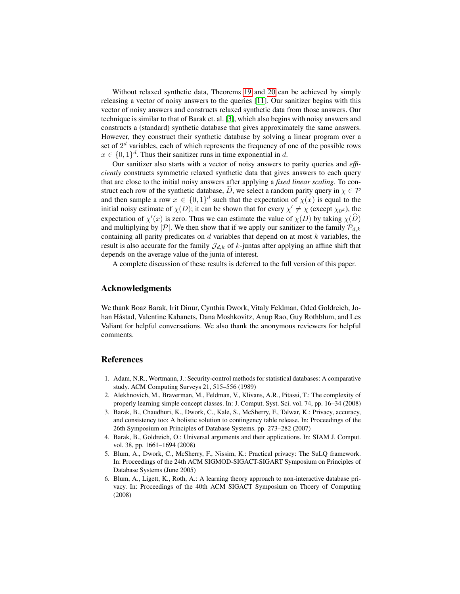Without relaxed synthetic data, Theorems [19](#page-14-0) and [20](#page-14-2) can be achieved by simply releasing a vector of noisy answers to the queries [\[11\]](#page-16-5). Our sanitizer begins with this vector of noisy answers and constructs relaxed synthetic data from those answers. Our technique is similar to that of Barak et. al. [\[3\]](#page-15-2), which also begins with noisy answers and constructs a (standard) synthetic database that gives approximately the same answers. However, they construct their synthetic database by solving a linear program over a set of  $2<sup>d</sup>$  variables, each of which represents the frequency of one of the possible rows  $x \in \{0,1\}^d$ . Thus their sanitizer runs in time exponential in d.

Our sanitizer also starts with a vector of noisy answers to parity queries and *efficiently* constructs symmetric relaxed synthetic data that gives answers to each query that are close to the initial noisy answers after applying a *fixed linear scaling*. To construct each row of the synthetic database, D, we select a random parity query in  $\chi \in \mathcal{P}$ and then sample a row  $x \in \{0,1\}^d$  such that the expectation of  $\chi(x)$  is equal to the initial noisy estimate of  $\chi(D)$ ; it can be shown that for every  $\chi' \neq \chi$  (except  $\chi_{0^d}$ ), the expectation of  $\chi'(x)$  is zero. Thus we can estimate the value of  $\chi(D)$  by taking  $\chi(D)$ and multiplying by  $|\mathcal{P}|$ . We then show that if we apply our sanitizer to the family  $\mathcal{P}_{d,k}$ containing all parity predicates on  $d$  variables that depend on at most  $k$  variables, the result is also accurate for the family  $\mathcal{J}_{d,k}$  of k-juntas after applying an affine shift that depends on the average value of the junta of interest.

A complete discussion of these results is deferred to the full version of this paper.

# Acknowledgments

We thank Boaz Barak, Irit Dinur, Cynthia Dwork, Vitaly Feldman, Oded Goldreich, Johan Håstad, Valentine Kabanets, Dana Moshkovitz, Anup Rao, Guy Rothblum, and Les Valiant for helpful conversations. We also thank the anonymous reviewers for helpful comments.

# References

- <span id="page-15-0"></span>1. Adam, N.R., Wortmann, J.: Security-control methods for statistical databases: A comparative study. ACM Computing Surveys 21, 515–556 (1989)
- <span id="page-15-5"></span>2. Alekhnovich, M., Braverman, M., Feldman, V., Klivans, A.R., Pitassi, T.: The complexity of properly learning simple concept classes. In: J. Comput. Syst. Sci. vol. 74, pp. 16–34 (2008)
- <span id="page-15-2"></span>3. Barak, B., Chaudhuri, K., Dwork, C., Kale, S., McSherry, F., Talwar, K.: Privacy, accuracy, and consistency too: A holistic solution to contingency table release. In: Proceedings of the 26th Symposium on Principles of Database Systems. pp. 273–282 (2007)
- <span id="page-15-4"></span>4. Barak, B., Goldreich, O.: Universal arguments and their applications. In: SIAM J. Comput. vol. 38, pp. 1661–1694 (2008)
- <span id="page-15-1"></span>5. Blum, A., Dwork, C., McSherry, F., Nissim, K.: Practical privacy: The SuLQ framework. In: Proceedings of the 24th ACM SIGMOD-SIGACT-SIGART Symposium on Principles of Database Systems (June 2005)
- <span id="page-15-3"></span>6. Blum, A., Ligett, K., Roth, A.: A learning theory approach to non-interactive database privacy. In: Proceedings of the 40th ACM SIGACT Symposium on Thoery of Computing (2008)